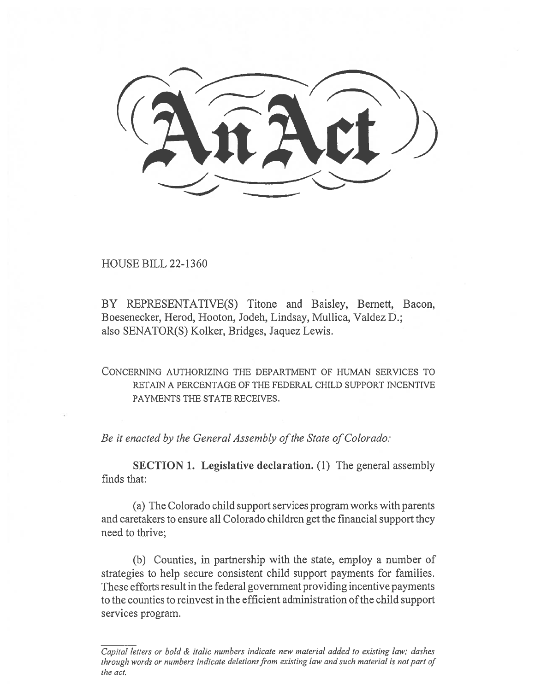$\mathbb{Q}(\mathbb{Z}|\mathbb{Z})$ 

HOUSE BILL 22-1360

BY REPRESENTATIVE(S) Titone and Baisley, Bernett, Bacon, Boesenecker, Herod, Hooton, Jodeh, Lindsay, Mullica, Valdez D.; also SENATOR(S) Kolker, Bridges, Jaquez Lewis.

CONCERNING AUTHORIZING THE DEPARTMENT OF HUMAN SERVICES TO RETAIN A PERCENTAGE OF THE FEDERAL CHILD SUPPORT INCENTIVE PAYMENTS THE STATE RECEIVES.

Be it enacted by the General Assembly of the State of Colorado:

SECTION 1. Legislative declaration. (1) The general assembly finds that:

(a) The Colorado child support services program works with parents and caretakers to ensure all Colorado children get the financial support they need to thrive;

(b) Counties, in partnership with the state, employ a number of strategies to help secure consistent child support payments for families. These efforts result in the federal government providing incentive payments to the counties to reinvest in the efficient administration of the child support services program.

Capital letters or bold & italic numbers indicate new material added to existing law; dashes through words or numbers indicate deletions from existing law and such material is not part of the act.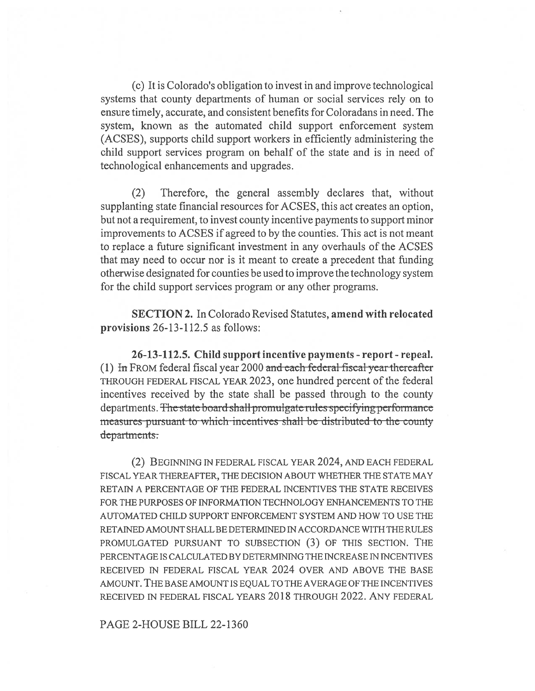(c) It is Colorado's obligation to invest in and improve technological systems that county departments of human or social services rely on to ensure timely, accurate, and consistent benefits for Coloradans in need. The system, known as the automated child support enforcement system (ACSES), supports child support workers in efficiently administering the child support services program on behalf of the state and is in need of technological enhancements and upgrades.

(2) Therefore, the general assembly declares that, without supplanting state financial resources for ACSES, this act creates an option, but not a requirement, to invest county incentive payments to support minor improvements to ACSES if agreed to by the counties. This act is not meant to replace a future significant investment in any overhauls of the ACSES that may need to occur nor is it meant to create a precedent that funding otherwise designated for counties be used to improve the technology system for the child support services program or any other programs.

SECTION 2. In Colorado Revised Statutes, amend with relocated provisions 26-13-112.5 as follows:

26-13-112.5. Child support incentive payments - report - repeal. (1) In FROM federal fiscal year 2000 and each federal fiscal year thereafter THROUGH FEDERAL FISCAL YEAR 2023, one hundred percent of the federal incentives received by the state shall be passed through to the county departments. The state-board-shall-promulgate-rules-specifying-performance measures pursuant to which incentives shall be distributed to the county departments:

(2) BEGINNING IN FEDERAL FISCAL YEAR 2024, AND EACH FEDERAL FISCAL YEAR THEREAFTER, THE DECISION ABOUT WHETHER THE STATE MAY RETAIN A PERCENTAGE OF THE FEDERAL INCENTIVES THE STATE RECEIVES FOR THE PURPOSES OF INFORMATION TECHNOLOGY ENHANCEMENTS TO THE AUTOMATED CHILD SUPPORT ENFORCEMENT SYSTEM AND HOW TO USE THE RETAINED AMOUNT SHALL BE DETERMINED IN ACCORDANCE WITH THE RULES PROMULGATED PURSUANT TO SUBSECTION (3) OF THIS SECTION. THE PERCENTAGE IS CALCULATED BY DETERMINING THE INCREASE IN INCENTIVES RECEIVED IN FEDERAL FISCAL YEAR 2024 OVER AND ABOVE THE BASE AMOUNT. THE BASE AMOUNT IS EQUAL TO THE AVERAGE OF THE INCENTIVES RECEIVED IN FEDERAL FISCAL YEARS 2018 THROUGH 2022. ANY FEDERAL

## PAGE 2-HOUSE BILL 22-1360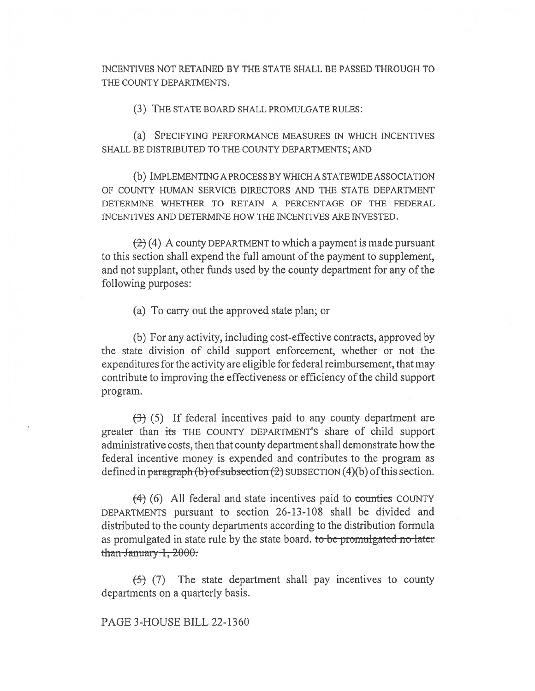INCENTIVES NOT RETAINED BY THE STATE SHALL BE PASSED THROUGH TO THE COUNTY DEPARTMENTS.

(3) THE STATE BOARD SHALL PROMULGATE RULES:

(a) SPECIFYING PERFORMANCE MEASURES IN WHICH INCENTIVES SHALL BE DISTRIBUTED TO THE COUNTY DEPARTMENTS; AND

(b) IMPLEMENTING A PROCESS BY WHICH A STATEWIDE ASSOCIATION OF COUNTY HUMAN SERVICE DIRECTORS AND THE STATE DEPARTMENT DETERMINE WHETHER TO RETAIN A PERCENTAGE OF THE FEDERAL INCENTIVES AND DETERMINE HOW THE INCENTIVES ARE INVESTED.

 $(2)$  (4) A county DEPARTMENT to which a payment is made pursuant to this section shall expend the full amount of the payment to supplement, and not supplant, other funds used by the county department for any of the following purposes:

(a) To carry out the approved state plan; or

(b) For any activity, including cost-effective contracts, approved by the state division of child support enforcement, whether or not the expenditures for the activity are eligible for federal reimbursement, that may contribute to improving the effectiveness or efficiency of the child support program.

 $(3)$  (5) If federal incentives paid to any county department are greater than its THE COUNTY DEPARTMENT'S share of child support administrative costs, then that county department shall demonstrate how the federal incentive money is expended and contributes to the program as defined in paragraph (b) of subsection  $(2)$  SUBSECTION  $(4)(b)$  of this section.

 $(4)$  (6) All federal and state incentives paid to counties COUNTY DEPARTMENTS pursuant to section 26-13-108 shall be divided and distributed to the county departments according to the distribution formula as promulgated in state rule by the state board. to be promulgated no later than January 1, 2000.

 $(5)$  (7) The state department shall pay incentives to county departments on a quarterly basis.

## PAGE 3-HOUSE BILL 22-1360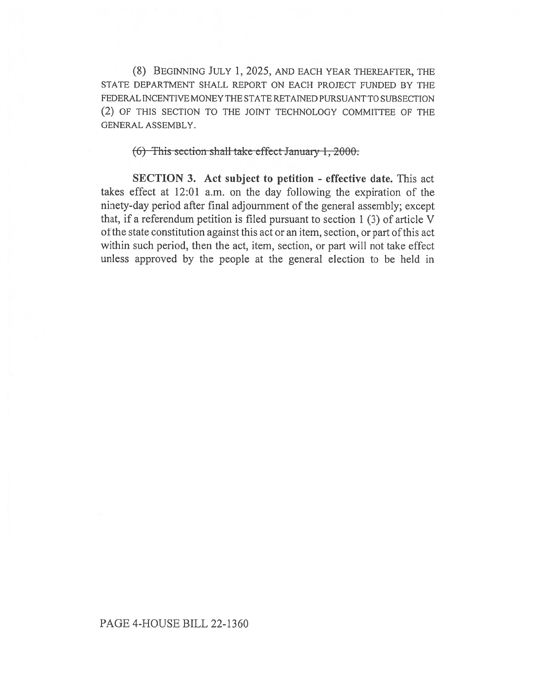(8) BEGINNING JULY 1, 2025, AND EACH YEAR THEREAFTER, THE STATE DEPARTMENT SHALL REPORT ON EACH PROJECT FUNDED BY THE FEDERAL INCENTIVE MONEY THE STATE RETAINED PURSUANT TO SUBSECTION (2) OF THIS SECTION TO THE JOINT TECHNOLOGY COMMITTEE OF THE GENERAL ASSEMBLY.

 $(6)$  This section shall take effect January 1, 2000.

SECTION 3. Act subject to petition - effective date. This act takes effect at 12:01 a.m. on the day following the expiration of the ninety-day period after final adjournment of the general assembly; except that, if a referendum petition is filed pursuant to section 1 (3) of article V ofthe state constitution against this act or an item, section, or part of this act within such period, then the act, item, section, or part will not take effect unless approved by the people at the general election to be held in